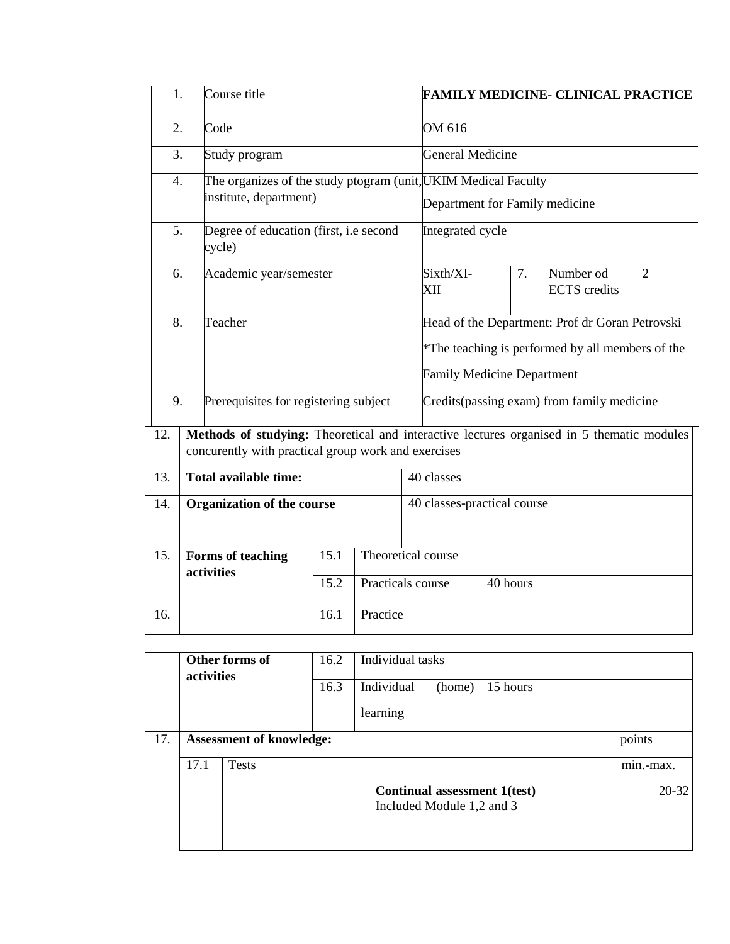| 1.               | Course title                                                                                                                                     |              |          | <b>FAMILY MEDICINE- CLINICAL PRACTICE</b>                                                        |                                                                                                                                          |                                  |                |  |  |
|------------------|--------------------------------------------------------------------------------------------------------------------------------------------------|--------------|----------|--------------------------------------------------------------------------------------------------|------------------------------------------------------------------------------------------------------------------------------------------|----------------------------------|----------------|--|--|
| $\overline{2}$ . | Code                                                                                                                                             |              |          | OM 616                                                                                           |                                                                                                                                          |                                  |                |  |  |
| 3.               | Study program                                                                                                                                    |              |          |                                                                                                  | <b>General Medicine</b>                                                                                                                  |                                  |                |  |  |
| 4.               | institute, department)                                                                                                                           |              |          | The organizes of the study ptogram (unit, UKIM Medical Faculty<br>Department for Family medicine |                                                                                                                                          |                                  |                |  |  |
| 5.               | Degree of education (first, i.e second<br>cycle)                                                                                                 |              |          | Integrated cycle                                                                                 |                                                                                                                                          |                                  |                |  |  |
|                  | Academic year/semester<br>6.                                                                                                                     |              |          | Sixth/XI-<br>XII                                                                                 | 7.                                                                                                                                       | Number od<br><b>ECTS</b> credits | $\overline{2}$ |  |  |
|                  | 8.<br>Teacher                                                                                                                                    |              |          |                                                                                                  | Head of the Department: Prof dr Goran Petrovski<br>*The teaching is performed by all members of the<br><b>Family Medicine Department</b> |                                  |                |  |  |
|                  | 9.<br>Prerequisites for registering subject                                                                                                      |              |          |                                                                                                  | Credits (passing exam) from family medicine                                                                                              |                                  |                |  |  |
| 12.              | Methods of studying: Theoretical and interactive lectures organised in 5 thematic modules<br>concurently with practical group work and exercises |              |          |                                                                                                  |                                                                                                                                          |                                  |                |  |  |
| 13.              | <b>Total available time:</b>                                                                                                                     |              |          | 40 classes                                                                                       |                                                                                                                                          |                                  |                |  |  |
| 14.              | <b>Organization of the course</b>                                                                                                                |              |          |                                                                                                  | 40 classes-practical course                                                                                                              |                                  |                |  |  |
| 15.              | Forms of teaching<br>activities                                                                                                                  | 15.1<br>15.2 |          | Theoretical course<br>Practicals course                                                          | 40 hours                                                                                                                                 |                                  |                |  |  |
| 16.              |                                                                                                                                                  | 16.1         | Practice |                                                                                                  |                                                                                                                                          |                                  |                |  |  |

|     | Other forms of<br>activities |                                 | 16.2 | Individual tasks                                          |        |          |           |
|-----|------------------------------|---------------------------------|------|-----------------------------------------------------------|--------|----------|-----------|
|     |                              |                                 | 16.3 | Individual                                                | (home) | 15 hours |           |
|     |                              |                                 |      | learning                                                  |        |          |           |
| 17. |                              | <b>Assessment of knowledge:</b> |      |                                                           |        |          | points    |
|     | 17.1                         | Tests                           |      |                                                           |        |          | min.-max. |
|     |                              |                                 |      | Continual assessment 1(test)<br>Included Module 1,2 and 3 |        |          | $20 - 32$ |